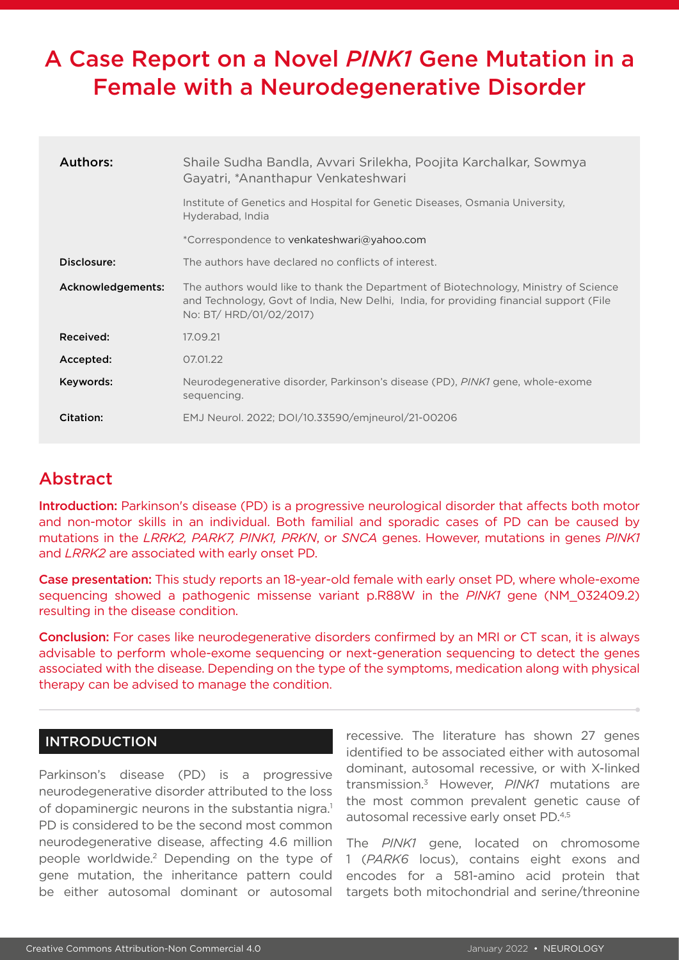# A Case Report on a Novel *PINK1* Gene Mutation in a Female with a Neurodegenerative Disorder

| Authors:          | Shaile Sudha Bandla, Avvari Srilekha, Poojita Karchalkar, Sowmya<br>Gayatri, *Ananthapur Venkateshwari                                                                                                    |
|-------------------|-----------------------------------------------------------------------------------------------------------------------------------------------------------------------------------------------------------|
|                   | Institute of Genetics and Hospital for Genetic Diseases, Osmania University.<br>Hyderabad, India                                                                                                          |
|                   | *Correspondence to venkateshwari@yahoo.com                                                                                                                                                                |
| Disclosure:       | The authors have declared no conflicts of interest.                                                                                                                                                       |
| Acknowledgements: | The authors would like to thank the Department of Biotechnology, Ministry of Science<br>and Technology, Govt of India, New Delhi, India, for providing financial support (File<br>No: BT/ HRD/01/02/2017) |
| Received:         | 17.09.21                                                                                                                                                                                                  |
| Accepted:         | 07.01.22                                                                                                                                                                                                  |
| Keywords:         | Neurodegenerative disorder, Parkinson's disease (PD), <i>PINK1</i> gene, whole-exome<br>sequencing.                                                                                                       |
| Citation:         | EMJ Neurol. 2022; DOI/10.33590/emineurol/21-00206                                                                                                                                                         |

## Abstract

Introduction: Parkinson's disease (PD) is a progressive neurological disorder that affects both motor and non-motor skills in an individual. Both familial and sporadic cases of PD can be caused by mutations in the *LRRK2, PARK7, PINK1, PRKN*, or *SNCA* genes. However, mutations in genes *PINK1*  and *LRRK2* are associated with early onset PD.

Case presentation: This study reports an 18-year-old female with early onset PD, where whole-exome sequencing showed a pathogenic missense variant p.R88W in the *PINK1* gene (NM\_032409.2) resulting in the disease condition.

Conclusion: For cases like neurodegenerative disorders confirmed by an MRI or CT scan, it is always advisable to perform whole-exome sequencing or next-generation sequencing to detect the genes associated with the disease. Depending on the type of the symptoms, medication along with physical therapy can be advised to manage the condition.

## INTRODUCTION

Parkinson's disease (PD) is a progressive neurodegenerative disorder attributed to the loss of dopaminergic neurons in the substantia nigra.<sup>1</sup> PD is considered to be the second most common neurodegenerative disease, affecting 4.6 million people worldwide.2 Depending on the type of gene mutation, the inheritance pattern could be either autosomal dominant or autosomal

recessive. The literature has shown 27 genes identified to be associated either with autosomal dominant, autosomal recessive, or with X-linked transmission.3 However, *PINK1* mutations are the most common prevalent genetic cause of autosomal recessive early onset PD.4,5

The *PINK1* gene, located on chromosome 1 (*PARK6* locus), contains eight exons and encodes for a 581-amino acid protein that targets both mitochondrial and serine/threonine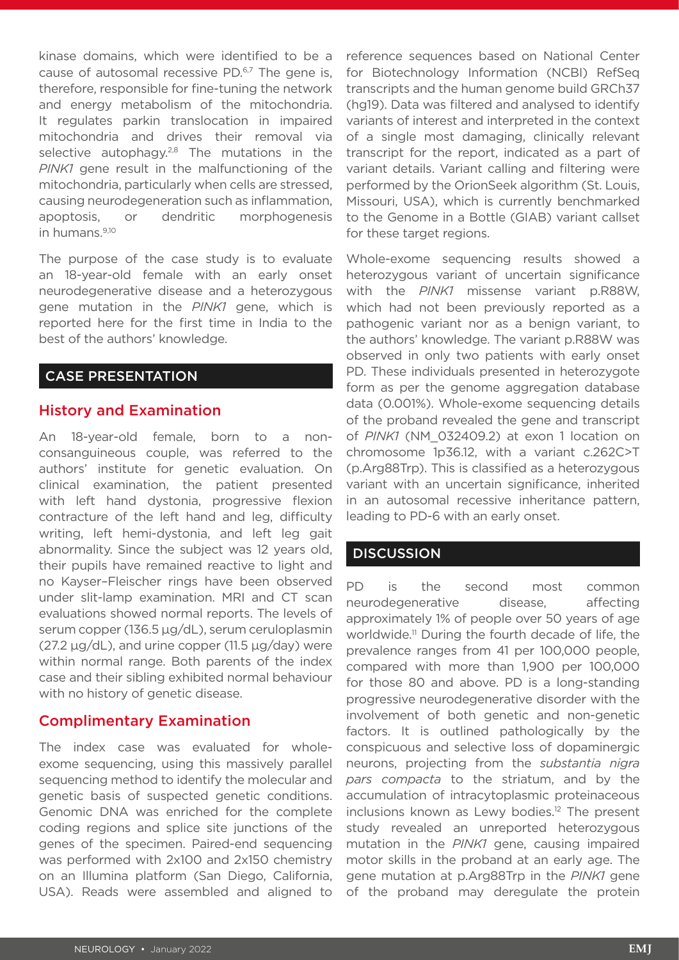kinase domains, which were identified to be a cause of autosomal recessive PD.<sup>6,7</sup> The gene is. therefore, responsible for fine-tuning the network and energy metabolism of the mitochondria. It regulates parkin translocation in impaired mitochondria and drives their removal via selective autophagy.<sup>2,8</sup> The mutations in the *PINK1* gene result in the malfunctioning of the mitochondria, particularly when cells are stressed, causing neurodegeneration such as inflammation, apoptosis, or dendritic morphogenesis in humans.9,10

The purpose of the case study is to evaluate an 18-year-old female with an early onset neurodegenerative disease and a heterozygous gene mutation in the *PINK1* gene, which is reported here for the first time in India to the best of the authors' knowledge.

#### CASE PRESENTATION

#### History and Examination

An 18-year-old female, born to a nonconsanguineous couple, was referred to the authors' institute for genetic evaluation. On clinical examination, the patient presented with left hand dystonia, progressive flexion contracture of the left hand and leg, difficulty writing, left hemi-dystonia, and left leg gait abnormality. Since the subject was 12 years old, their pupils have remained reactive to light and no Kayser–Fleischer rings have been observed under slit-lamp examination. MRI and CT scan evaluations showed normal reports. The levels of serum copper (136.5 µg/dL), serum ceruloplasmin (27.2 µg/dL), and urine copper (11.5 µg/day) were within normal range. Both parents of the index case and their sibling exhibited normal behaviour with no history of genetic disease.

### Complimentary Examination

The index case was evaluated for wholeexome sequencing, using this massively parallel sequencing method to identify the molecular and genetic basis of suspected genetic conditions. Genomic DNA was enriched for the complete coding regions and splice site junctions of the genes of the specimen. Paired-end sequencing was performed with 2x100 and 2x150 chemistry on an Illumina platform (San Diego, California, USA). Reads were assembled and aligned to

reference sequences based on National Center for Biotechnology Information (NCBI) RefSeq transcripts and the human genome build GRCh37 (hg19). Data was filtered and analysed to identify variants of interest and interpreted in the context of a single most damaging, clinically relevant transcript for the report, indicated as a part of variant details. Variant calling and filtering were performed by the OrionSeek algorithm (St. Louis, Missouri, USA), which is currently benchmarked to the Genome in a Bottle (GIAB) variant callset for these target regions.

Whole-exome sequencing results showed a heterozygous variant of uncertain significance with the *PINK1* missense variant p.R88W, which had not been previously reported as a pathogenic variant nor as a benign variant, to the authors' knowledge. The variant p.R88W was observed in only two patients with early onset PD. These individuals presented in heterozygote form as per the genome aggregation database data (0.001%). Whole-exome sequencing details of the proband revealed the gene and transcript of *PINK1* (NM\_032409.2) at exon 1 location on chromosome 1p36.12, with a variant c.262C>T (p.Arg88Trp). This is classified as a heterozygous variant with an uncertain significance, inherited in an autosomal recessive inheritance pattern, leading to PD-6 with an early onset.

#### **DISCUSSION**

PD is the second most common neurodegenerative disease, affecting approximately 1% of people over 50 years of age worldwide.11 During the fourth decade of life, the prevalence ranges from 41 per 100,000 people, compared with more than 1,900 per 100,000 for those 80 and above. PD is a long-standing progressive neurodegenerative disorder with the involvement of both genetic and non-genetic factors. It is outlined pathologically by the conspicuous and selective loss of dopaminergic neurons, projecting from the *substantia nigra pars compacta* to the striatum, and by the accumulation of intracytoplasmic proteinaceous inclusions known as Lewy bodies.<sup>12</sup> The present study revealed an unreported heterozygous mutation in the *PINK1* gene, causing impaired motor skills in the proband at an early age. The gene mutation at p.Arg88Trp in the *PINK1* gene of the proband may deregulate the protein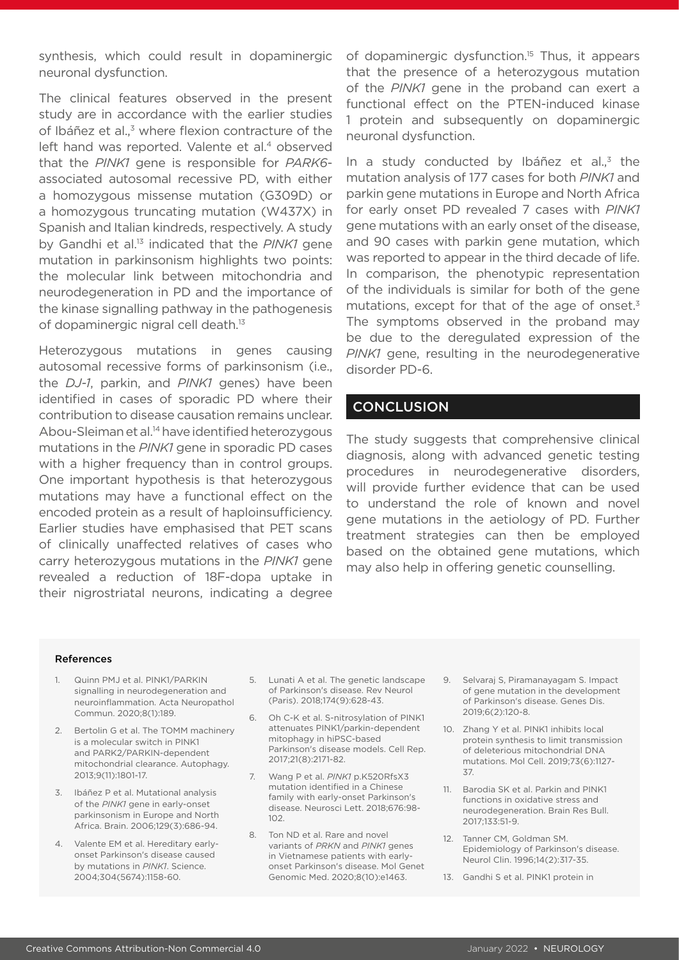synthesis, which could result in dopaminergic neuronal dysfunction.

The clinical features observed in the present study are in accordance with the earlier studies of Ibáñez et al.,<sup>3</sup> where flexion contracture of the left hand was reported. Valente et al.<sup>4</sup> observed that the *PINK1* gene is responsible for *PARK6* associated autosomal recessive PD, with either a homozygous missense mutation (G309D) or a homozygous truncating mutation (W437X) in Spanish and Italian kindreds, respectively. A study by Gandhi et al.13 indicated that the *PINK1* gene mutation in parkinsonism highlights two points: the molecular link between mitochondria and neurodegeneration in PD and the importance of the kinase signalling pathway in the pathogenesis of dopaminergic nigral cell death.<sup>13</sup>

Heterozygous mutations in genes causing autosomal recessive forms of parkinsonism (i.e., the *DJ-1*, parkin, and *PINK1* genes) have been identified in cases of sporadic PD where their contribution to disease causation remains unclear. Abou-Sleiman et al.14 have identified heterozygous mutations in the *PINK1* gene in sporadic PD cases with a higher frequency than in control groups. One important hypothesis is that heterozygous mutations may have a functional effect on the encoded protein as a result of haploinsufficiency. Earlier studies have emphasised that PET scans of clinically unaffected relatives of cases who carry heterozygous mutations in the *PINK1* gene revealed a reduction of 18F-dopa uptake in their nigrostriatal neurons, indicating a degree

of dopaminergic dysfunction.15 Thus, it appears that the presence of a heterozygous mutation of the *PINK1* gene in the proband can exert a functional effect on the PTEN-induced kinase 1 protein and subsequently on dopaminergic neuronal dysfunction.

In a study conducted by Ibáñez et al., $3$  the mutation analysis of 177 cases for both *PINK1* and parkin gene mutations in Europe and North Africa for early onset PD revealed 7 cases with *PINK1* gene mutations with an early onset of the disease, and 90 cases with parkin gene mutation, which was reported to appear in the third decade of life. In comparison, the phenotypic representation of the individuals is similar for both of the gene mutations, except for that of the age of onset.<sup>3</sup> The symptoms observed in the proband may be due to the deregulated expression of the *PINK1* gene, resulting in the neurodegenerative disorder PD-6.

#### **CONCLUSION**

The study suggests that comprehensive clinical diagnosis, along with advanced genetic testing procedures in neurodegenerative disorders, will provide further evidence that can be used to understand the role of known and novel gene mutations in the aetiology of PD. Further treatment strategies can then be employed based on the obtained gene mutations, which may also help in offering genetic counselling.

#### References

- 1. Quinn PMJ et al. PINK1/PARKIN signalling in neurodegeneration and neuroinflammation. Acta Neuropathol Commun. 2020;8(1):189.
- 2. Bertolin G et al. The TOMM machinery is a molecular switch in PINK1 and PARK2/PARKIN-dependent mitochondrial clearance. Autophagy. 2013;9(11):1801-17.
- 3. Ibáñez P et al. Mutational analysis of the *PINK1* gene in early-onset parkinsonism in Europe and North Africa. Brain. 2006;129(3):686-94.
- 4. Valente EM et al. Hereditary earlyonset Parkinson's disease caused by mutations in *PINK1*. Science. 2004;304(5674):1158-60.
- 5. Lunati A et al. The genetic landscape of Parkinson's disease. Rev Neurol (Paris). 2018;174(9):628-43.
- 6. Oh C-K et al. S-nitrosylation of PINK1 attenuates PINK1/parkin-dependent mitophagy in hiPSC-based Parkinson's disease models. Cell Rep. 2017;21(8):2171-82.
- 7. Wang P et al. *PINK1* p.K520RfsX3 mutation identified in a Chinese family with early-onset Parkinson's disease. Neurosci Lett. 2018;676:98- 102.
- 8. Ton ND et al. Rare and novel variants of *PRKN* and *PINK1* genes in Vietnamese patients with earlyonset Parkinson's disease. Mol Genet Genomic Med. 2020;8(10):e1463.
- 9. Selvaraj S, Piramanayagam S. Impact of gene mutation in the development of Parkinson's disease. Genes Dis. 2019;6(2):120-8.
- 10. Zhang Y et al. PINK1 inhibits local protein synthesis to limit transmission of deleterious mitochondrial DNA mutations. Mol Cell. 2019;73(6):1127- 37.
- 11. Barodia SK et al. Parkin and PINK1 functions in oxidative stress and neurodegeneration. Brain Res Bull. 2017;133:51-9.
- 12. Tanner CM, Goldman SM. Epidemiology of Parkinson's disease. Neurol Clin. 1996;14(2):317-35.
- 13. Gandhi S et al. PINK1 protein in